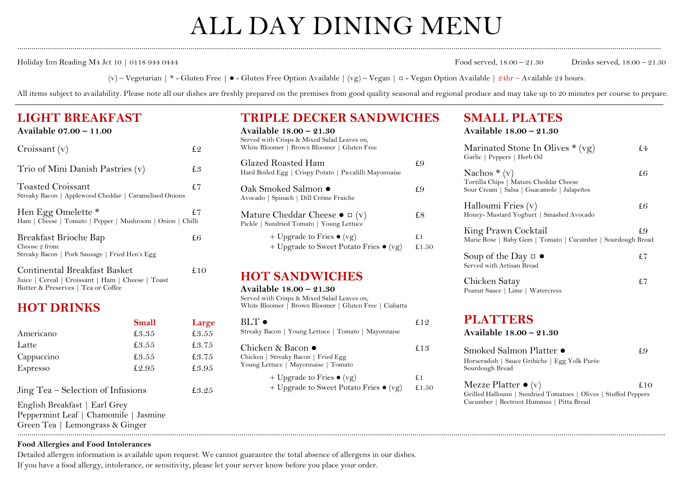# ALL DAY DINING MENU

............................................................................................................................................................................................................................................................................................................................

Holiday Inn Reading M4 Jct 10 | 0118 944 0444 Food served, 18.00 – 21.30 Drinks served, 18.00 – 21.30

(v) – Vegetarian | \* - Gluten Free |  $\bullet$  - Gluten Free Option Available | (vg) – Vegan | ¤ - Vegan Option Available | 24hr – Available 24 hours.

All items subject to availability. Please note all our dishes are freshly prepared on the premises from good quality seasonal and regional produce and may take up to 20 minutes per course to prepare.

## **LIGHT BREAKFAST**

| Available 07.00 - 11.00 |
|-------------------------|
|-------------------------|

| Croissant (v)                                                                             | £2   |
|-------------------------------------------------------------------------------------------|------|
| Trio of Mini Danish Pastries (v)                                                          | £3   |
| <b>Toasted Croissant</b><br>Streaky Bacon   Applewood Cheddar   Caramelised Onions        | £7   |
| Hen Egg Omelette *<br>Ham   Cheese   Tomato   Pepper   Mushroom   Onion   Chilli          | £7   |
| Breakfast Brioche Bap<br>Choose 2 from:<br>Streaky Bacon   Pork Sausage   Fried Hen's Egg | £6   |
| Continental Breakfast Basket                                                              | £ IO |

|  | Continental Divantable Dabnet                     |  |  |
|--|---------------------------------------------------|--|--|
|  | Juice   Cereal   Croissant   Ham   Cheese   Toast |  |  |
|  | Butter & Preserves   Tea or Coffee                |  |  |

## **HOT DRINKS**

|                                       | <b>Small</b> | Large | $BLT$ $\bullet$                                                                     | £12         | PLAI I ERS                                                                                     |     |
|---------------------------------------|--------------|-------|-------------------------------------------------------------------------------------|-------------|------------------------------------------------------------------------------------------------|-----|
| Americano                             | £3.35        | £3.55 | Streaky Bacon   Young Lettuce   Tomato   Mayonnaise                                 |             | Available 18.00 - 21.30                                                                        |     |
| Latte                                 | £3.55        | £3.75 | Chicken & Bacon ●                                                                   | £ $13$      | Smoked Salmon Platter ●                                                                        | £9  |
| Cappuccino                            | £3.55        | £3.75 | Chicken   Streaky Bacon   Fried Egg                                                 |             | Horseradish   Sauce Gribiche   Egg Yolk Purée                                                  |     |
| Espresso                              | £2.95        | £3.95 | Young Lettuce   Mayonnaise   Tomato                                                 |             | Sourdough Bread                                                                                |     |
| Jing Tea – Selection of Infusions     |              | £3.25 | + Upgrade to Fries $\bullet$ (vg)<br>+ Upgrade to Sweet Potato Fries $\bullet$ (vg) | £1<br>£1.50 | Mezze Platter $\bullet$ (v)<br>Grilled Halloumi   Sundried Tomatoes   Olives   Stuffed Peppers | £10 |
| English Breakfast   Earl Grey         |              |       |                                                                                     |             | Cucumber   Beetroot Hummus   Pitta Bread                                                       |     |
| Peppermint Leaf   Chamomile   Jasmine |              |       |                                                                                     |             |                                                                                                |     |
| Green Tea   Lemongrass & Ginger       |              |       |                                                                                     |             |                                                                                                |     |

## **TRIPLE DECKER SANDWICHES**

| Available 18.00 – 21.30<br>Served with Crisps & Mixed Salad Leaves on,<br>White Bloomer   Brown Bloomer   Gluten Free |              |
|-----------------------------------------------------------------------------------------------------------------------|--------------|
| Glazed Roasted Ham<br>Hard Boiled Egg   Crispy Potato   Piccalilli Mayonnaise                                         | £9           |
| Oak Smoked Salmon ●<br>Avocado   Spinach   Dill Crème Fraiche                                                         | £9           |
| Mature Cheddar Cheese $\bullet$ $\alpha$ (v)<br>Pickle   Sundried Tomato   Young Lettuce                              | £8           |
| + Upgrade to Fries $\bullet$ (vg)<br>+ Upgrade to Sweet Potato Fries $\bullet$ (vg)                                   | f 1<br>£1.50 |

## **HOT SANDWICHES**

**Available 18.00 – 21.30** Served with Crisps & Mixed Salad Leaves on, White Bloomer | Brown Bloomer | Gluten Free | Ciabatta

| $BLT$ $\bullet$<br>Streaky Bacon   Young Lettuce   Tomato   Mayonnaise                          | 19    |
|-------------------------------------------------------------------------------------------------|-------|
| Chicken & Bacon ●<br>Chicken   Streaky Bacon   Fried Egg<br>Young Lettuce   Mayonnaise   Tomato | £13   |
| + Upgrade to Fries $\bullet$ (vg)                                                               | f 1   |
| + Upgrade to Sweet Potato Fries $\bullet$ (vg)                                                  | £1.50 |

#### **SMALL PLATES Available 18.00 – 21.30**

| Marinated Stone In Olives $*(vg)$<br>Garlic   Peppers   Herb Oil                                      | f4 |
|-------------------------------------------------------------------------------------------------------|----|
| Nachos $*(v)$<br>Tortilla Chips   Mature Cheddar Cheese<br>Sour Cream   Salsa   Guacamole   Jalapeños | £6 |
| Halloumi Fries (v)<br>Honey- Mustard Yoghurt   Smashed Avocado                                        | £6 |
| King Prawn Cocktail<br>Marie Rose   Baby Gem   Tomato   Cucumber   Sourdough Bread                    | £9 |
| Soup of the Day $\alpha \bullet$<br>Served with Artisan Bread                                         | £7 |
| Chicken Satay<br>Peanut Sauce   Lime   Watercress                                                     | £7 |
| <b>PLATTERS</b><br>Available 18.00 - 21.30                                                            |    |
| Smoked Salmon Platter ●<br>Horseradish   Sauce Gribiche   Egg Yolk Purée<br>Sourdough Bread           | £9 |
|                                                                                                       |    |

#### **Food Allergies and Food Intolerances**

Detailed allergen information is available upon request. We cannot guarantee the total absence of allergens in our dishes. If you have a food allergy, intolerance, or sensitivity, please let your server know before you place your order.